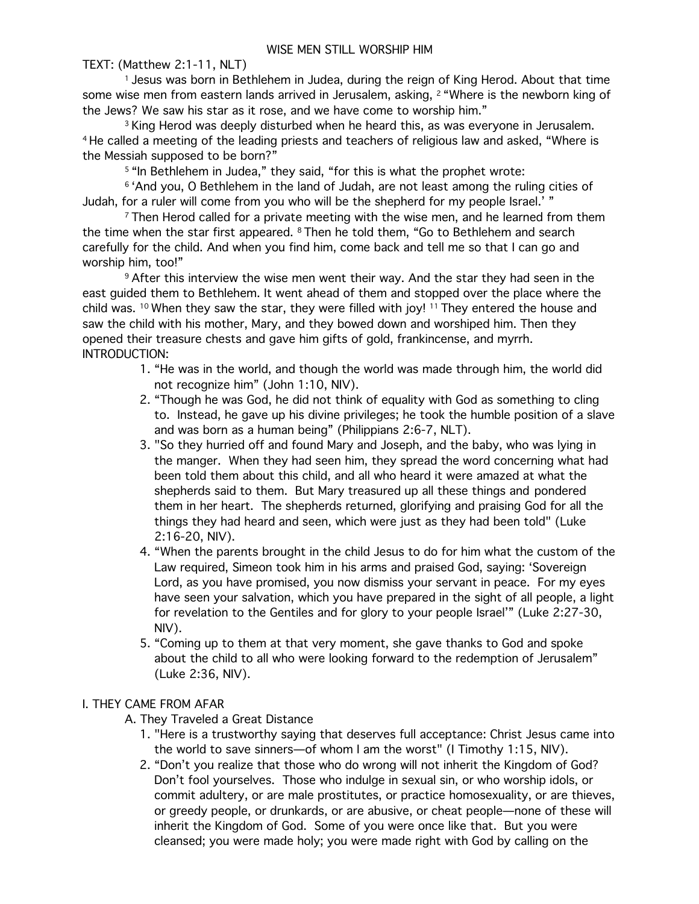TEXT: (Matthew 2:1-11, NLT)

<sup>1</sup> Jesus was born in Bethlehem in Judea, during the reign of King Herod. About that time some wise men from eastern lands arrived in Jerusalem, asking, <sup>2</sup> "Where is the newborn king of the Jews? We saw his star as it rose, and we have come to worship him."

<sup>3</sup> King Herod was deeply disturbed when he heard this, as was everyone in Jerusalem. <sup>4</sup> He called a meeting of the leading priests and teachers of religious law and asked, "Where is the Messiah supposed to be born?"

<sup>5 "</sup>In Bethlehem in Judea," they said, "for this is what the prophet wrote:

<sup>6</sup> 'And you, O Bethlehem in the land of Judah, are not least among the ruling cities of Judah, for a ruler will come from you who will be the shepherd for my people Israel.' "

<sup>7</sup> Then Herod called for a private meeting with the wise men, and he learned from them the time when the star first appeared. 8 Then he told them, "Go to Bethlehem and search carefully for the child. And when you find him, come back and tell me so that I can go and worship him, too!"

9 After this interview the wise men went their way. And the star they had seen in the east guided them to Bethlehem. It went ahead of them and stopped over the place where the child was. <sup>10</sup> When they saw the star, they were filled with joy! <sup>11</sup> They entered the house and saw the child with his mother, Mary, and they bowed down and worshiped him. Then they opened their treasure chests and gave him gifts of gold, frankincense, and myrrh. INTRODUCTION:

- 1. "He was in the world, and though the world was made through him, the world did not recognize him" (John 1:10, NIV).
- 2. "Though he was God, he did not think of equality with God as something to cling to. Instead, he gave up his divine privileges; he took the humble position of a slave and was born as a human being" (Philippians 2:6-7, NLT).
- 3. "So they hurried off and found Mary and Joseph, and the baby, who was lying in the manger. When they had seen him, they spread the word concerning what had been told them about this child, and all who heard it were amazed at what the shepherds said to them. But Mary treasured up all these things and pondered them in her heart. The shepherds returned, glorifying and praising God for all the things they had heard and seen, which were just as they had been told" (Luke 2:16-20, NIV).
- 4. "When the parents brought in the child Jesus to do for him what the custom of the Law required, Simeon took him in his arms and praised God, saying: 'Sovereign Lord, as you have promised, you now dismiss your servant in peace. For my eyes have seen your salvation, which you have prepared in the sight of all people, a light for revelation to the Gentiles and for glory to your people Israel'" (Luke 2:27-30, NIV).
- 5. "Coming up to them at that very moment, she gave thanks to God and spoke about the child to all who were looking forward to the redemption of Jerusalem" (Luke 2:36, NIV).

## I. THEY CAME FROM AFAR

- A. They Traveled a Great Distance
	- 1. "Here is a trustworthy saying that deserves full acceptance: Christ Jesus came into the world to save sinners—of whom I am the worst" (I Timothy 1:15, NIV).
	- 2. "Don't you realize that those who do wrong will not inherit the Kingdom of God? Don't fool yourselves. Those who indulge in sexual sin, or who worship idols, or commit adultery, or are male prostitutes, or practice homosexuality, or are thieves, or greedy people, or drunkards, or are abusive, or cheat people—none of these will inherit the Kingdom of God. Some of you were once like that. But you were cleansed; you were made holy; you were made right with God by calling on the